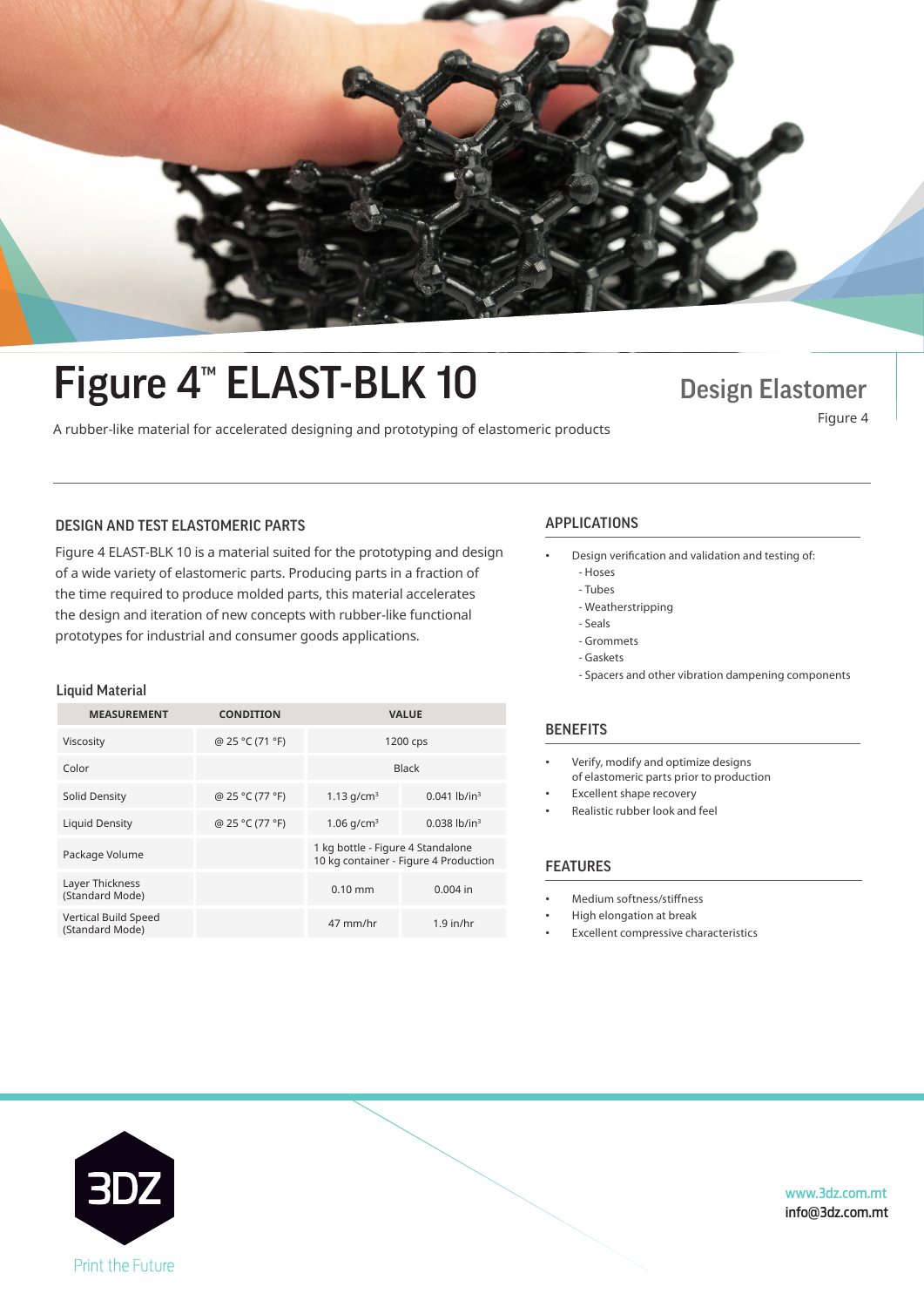

# Figure 4<sup>™</sup> ELAST-BLK 10 Design Elastomer ■ BUIC T LEAVI DEIN IO<br>A rubber-like material for accelerated designing and prototyping of elastomeric products Figure 4

### DESIGN AND TEST ELASTOMERIC PARTS APPLICATIONS

Figure 4 ELAST-BLK 10 is a material suited for the prototyping and design  $\qquad \qquad \bullet \qquad$  Design verifica of a wide variety of elastomeric parts. Producing parts in a fraction of the time required to produce molded parts, this material accelerates the design and iteration of new concepts with rubber-like functional prototypes for industrial and consumer goods applications.

### Liquid Material

| <b>MEASUREMENT</b>                      | <b>CONDITION</b> | <b>VALUE</b>                                                               |                            |
|-----------------------------------------|------------------|----------------------------------------------------------------------------|----------------------------|
| Viscosity                               | @ 25 °C (71 °F)  | 1200 cps                                                                   |                            |
| Color                                   |                  | <b>Black</b>                                                               |                            |
| Solid Density                           | @ 25 °C (77 °F)  | 1.13 $q/cm^3$                                                              | $0.041$ lb/in <sup>3</sup> |
| <b>Liquid Density</b>                   | @ 25 °C (77 °F)  | 1.06 $q/cm^3$                                                              | $0.038$ lb/in <sup>3</sup> |
| Package Volume                          |                  | 1 kg bottle - Figure 4 Standalone<br>10 kg container - Figure 4 Production |                            |
| Layer Thickness<br>(Standard Mode)      |                  | $0.10$ mm                                                                  | $0.004$ in                 |
| Vertical Build Speed<br>(Standard Mode) |                  | 47 mm/hr                                                                   | $1.9$ in/hr                |
|                                         |                  |                                                                            |                            |

- Design verification and validation and testing of:
	- Hoses
- Tubes  $\overline{\phantom{a}}$  - Tubes
	- Weatherstripping
	- Seals
	- Grommets - Gaskets - Seals
	- Spacers and other vibration dampening components

### **BENEFITS**

- Verify, modify and optimize designs of elastomeric parts prior to production
- Excellent shape recovery
- Realistic rubber look and feel

## **FEATURES**

- Medium softness/stiffness
- High elongation at break
- Excellent compressive characteristics



www.3dz.com.mt info@3dz.com.mt